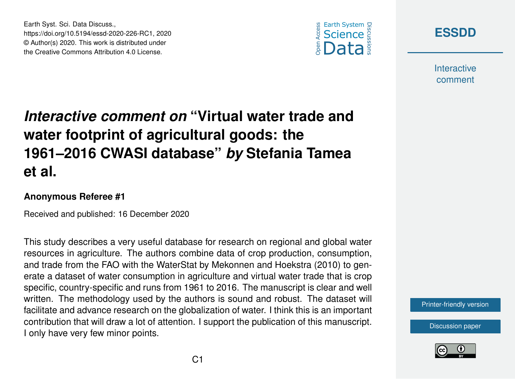



**Interactive** comment

## *Interactive comment on* **"Virtual water trade and water footprint of agricultural goods: the 1961–2016 CWASI database"** *by* **Stefania Tamea et al.**

## **Anonymous Referee #1**

Earth Syst. Sci. Data Discuss.,

https://doi.org/10.5194/essd-2020-226-RC1, 2020 © Author(s) 2020. This work is distributed under the Creative Commons Attribution 4.0 License.

Received and published: 16 December 2020

This study describes a very useful database for research on regional and global water resources in agriculture. The authors combine data of crop production, consumption, and trade from the FAO with the WaterStat by Mekonnen and Hoekstra (2010) to generate a dataset of water consumption in agriculture and virtual water trade that is crop specific, country-specific and runs from 1961 to 2016. The manuscript is clear and well written. The methodology used by the authors is sound and robust. The dataset will facilitate and advance research on the globalization of water. I think this is an important contribution that will draw a lot of attention. I support the publication of this manuscript. I only have very few minor points.

[Printer-friendly version](https://essd.copernicus.org/preprints/essd-2020-226/essd-2020-226-RC1-print.pdf)

[Discussion paper](https://essd.copernicus.org/preprints/essd-2020-226)